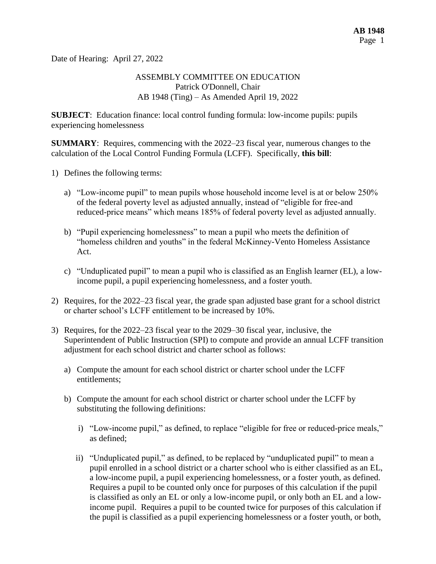Date of Hearing: April 27, 2022

#### ASSEMBLY COMMITTEE ON EDUCATION Patrick O'Donnell, Chair AB 1948 (Ting) – As Amended April 19, 2022

**SUBJECT**: Education finance: local control funding formula: low-income pupils: pupils experiencing homelessness

**SUMMARY**: Requires, commencing with the 2022–23 fiscal year, numerous changes to the calculation of the Local Control Funding Formula (LCFF). Specifically, **this bill**:

- 1) Defines the following terms:
	- a) "Low-income pupil" to mean pupils whose household income level is at or below 250% of the federal poverty level as adjusted annually, instead of "eligible for free-and reduced-price means" which means 185% of federal poverty level as adjusted annually.
	- b) "Pupil experiencing homelessness" to mean a pupil who meets the definition of "homeless children and youths" in the federal McKinney-Vento Homeless Assistance Act.
	- c) "Unduplicated pupil" to mean a pupil who is classified as an English learner (EL), a lowincome pupil, a pupil experiencing homelessness, and a foster youth.
- 2) Requires, for the 2022–23 fiscal year, the grade span adjusted base grant for a school district or charter school's LCFF entitlement to be increased by 10%.
- 3) Requires, for the 2022–23 fiscal year to the 2029–30 fiscal year, inclusive, the Superintendent of Public Instruction (SPI) to compute and provide an annual LCFF transition adjustment for each school district and charter school as follows:
	- a) Compute the amount for each school district or charter school under the LCFF entitlements;
	- b) Compute the amount for each school district or charter school under the LCFF by substituting the following definitions:
		- i) "Low-income pupil," as defined, to replace "eligible for free or reduced-price meals," as defined;
		- ii) "Unduplicated pupil," as defined, to be replaced by "unduplicated pupil" to mean a pupil enrolled in a school district or a charter school who is either classified as an EL, a low-income pupil, a pupil experiencing homelessness, or a foster youth, as defined. Requires a pupil to be counted only once for purposes of this calculation if the pupil is classified as only an EL or only a low-income pupil, or only both an EL and a lowincome pupil. Requires a pupil to be counted twice for purposes of this calculation if the pupil is classified as a pupil experiencing homelessness or a foster youth, or both,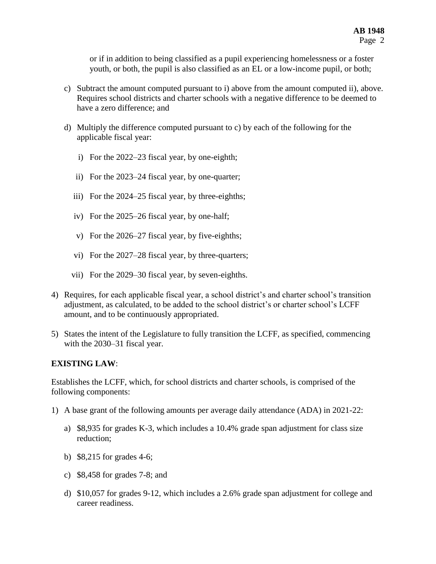or if in addition to being classified as a pupil experiencing homelessness or a foster youth, or both, the pupil is also classified as an EL or a low-income pupil, or both;

- c) Subtract the amount computed pursuant to i) above from the amount computed ii), above. Requires school districts and charter schools with a negative difference to be deemed to have a zero difference; and
- d) Multiply the difference computed pursuant to c) by each of the following for the applicable fiscal year:
	- i) For the 2022–23 fiscal year, by one-eighth;
	- ii) For the 2023–24 fiscal year, by one-quarter;
	- iii) For the 2024–25 fiscal year, by three-eighths;
	- iv) For the 2025–26 fiscal year, by one-half;
	- v) For the 2026–27 fiscal year, by five-eighths;
	- vi) For the 2027–28 fiscal year, by three-quarters;
	- vii) For the 2029–30 fiscal year, by seven-eighths.
- 4) Requires, for each applicable fiscal year, a school district's and charter school's transition adjustment, as calculated, to be added to the school district's or charter school's LCFF amount, and to be continuously appropriated.
- 5) States the intent of the Legislature to fully transition the LCFF, as specified, commencing with the 2030–31 fiscal year.

#### **EXISTING LAW**:

Establishes the LCFF, which, for school districts and charter schools, is comprised of the following components:

- 1) A base grant of the following amounts per average daily attendance (ADA) in 2021-22:
	- a) \$8,935 for grades K-3, which includes a 10.4% grade span adjustment for class size reduction;
	- b) \$8,215 for grades 4-6;
	- c) \$8,458 for grades 7-8; and
	- d) \$10,057 for grades 9-12, which includes a 2.6% grade span adjustment for college and career readiness.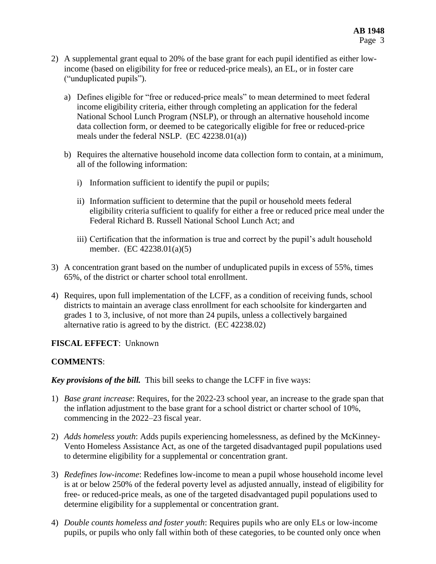- 2) A supplemental grant equal to 20% of the base grant for each pupil identified as either lowincome (based on eligibility for free or reduced-price meals), an EL, or in foster care ("unduplicated pupils").
	- a) Defines eligible for "free or reduced-price meals" to mean determined to meet federal income eligibility criteria, either through completing an application for the federal National School Lunch Program (NSLP), or through an alternative household income data collection form, or deemed to be categorically eligible for free or reduced-price meals under the federal NSLP. (EC 42238.01(a))
	- b) Requires the alternative household income data collection form to contain, at a minimum, all of the following information:
		- i) Information sufficient to identify the pupil or pupils;
		- ii) Information sufficient to determine that the pupil or household meets federal eligibility criteria sufficient to qualify for either a free or reduced price meal under the Federal Richard B. Russell National School Lunch Act; and
		- iii) Certification that the information is true and correct by the pupil's adult household member. (EC 42238.01(a)(5)
- 3) A concentration grant based on the number of unduplicated pupils in excess of 55%, times 65%, of the district or charter school total enrollment.
- 4) Requires, upon full implementation of the LCFF, as a condition of receiving funds, school districts to maintain an average class enrollment for each schoolsite for kindergarten and grades 1 to 3, inclusive, of not more than 24 pupils, unless a collectively bargained alternative ratio is agreed to by the district. (EC 42238.02)

# **FISCAL EFFECT**: Unknown

# **COMMENTS**:

*Key provisions of the bill.* This bill seeks to change the LCFF in five ways:

- 1) *Base grant increase*: Requires, for the 2022-23 school year, an increase to the grade span that the inflation adjustment to the base grant for a school district or charter school of 10%, commencing in the 2022–23 fiscal year.
- 2) *Adds homeless youth*: Adds pupils experiencing homelessness, as defined by the McKinney-Vento Homeless Assistance Act, as one of the targeted disadvantaged pupil populations used to determine eligibility for a supplemental or concentration grant.
- 3) *Redefines low-income*: Redefines low-income to mean a pupil whose household income level is at or below 250% of the federal poverty level as adjusted annually, instead of eligibility for free- or reduced-price meals, as one of the targeted disadvantaged pupil populations used to determine eligibility for a supplemental or concentration grant.
- 4) *Double counts homeless and foster youth*: Requires pupils who are only ELs or low-income pupils, or pupils who only fall within both of these categories, to be counted only once when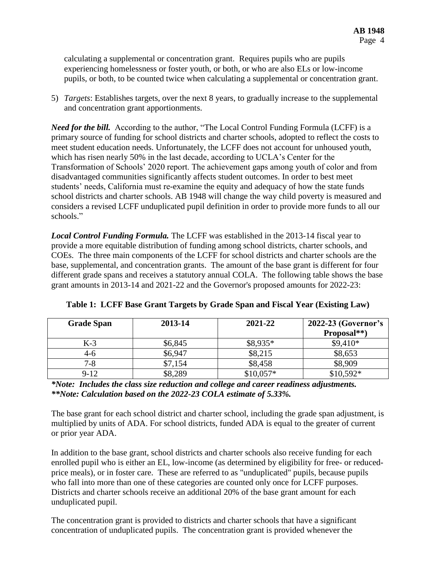calculating a supplemental or concentration grant. Requires pupils who are pupils experiencing homelessness or foster youth, or both, or who are also ELs or low-income pupils, or both, to be counted twice when calculating a supplemental or concentration grant.

5) *Targets*: Establishes targets, over the next 8 years, to gradually increase to the supplemental and concentration grant apportionments.

*Need for the bill.* According to the author, "The Local Control Funding Formula (LCFF) is a primary source of funding for school districts and charter schools, adopted to reflect the costs to meet student education needs. Unfortunately, the LCFF does not account for unhoused youth, which has risen nearly 50% in the last decade, according to UCLA's Center for the Transformation of Schools' 2020 report. The achievement gaps among youth of color and from disadvantaged communities significantly affects student outcomes. In order to best meet students' needs, California must re-examine the equity and adequacy of how the state funds school districts and charter schools. AB 1948 will change the way child poverty is measured and considers a revised LCFF unduplicated pupil definition in order to provide more funds to all our schools."

*Local Control Funding Formula.* The LCFF was established in the 2013-14 fiscal year to provide a more equitable distribution of funding among school districts, charter schools, and COEs. The three main components of the LCFF for school districts and charter schools are the base, supplemental, and concentration grants. The amount of the base grant is different for four different grade spans and receives a statutory annual COLA. The following table shows the base grant amounts in 2013-14 and 2021-22 and the Governor's proposed amounts for 2022-23:

| <b>Grade Span</b> | 2013-14 | 2021-22    | 2022-23 (Governor's |  |
|-------------------|---------|------------|---------------------|--|
|                   |         |            | Proposal**)         |  |
| $K-3$             | \$6,845 | $$8,935*$  | $$9,410*$           |  |
| 4-6               | \$6,947 | \$8,215    | \$8,653             |  |
| $7 - 8$           | \$7,154 | \$8,458    | \$8,909             |  |
| $9-12$            | \$8,289 | $$10,057*$ | $$10.592*$          |  |

| Table 1: LCFF Base Grant Targets by Grade Span and Fiscal Year (Existing Law) |
|-------------------------------------------------------------------------------|
|-------------------------------------------------------------------------------|

*\*Note: Includes the class size reduction and college and career readiness adjustments. \*\*Note: Calculation based on the 2022-23 COLA estimate of 5.33%.*

The base grant for each school district and charter school, including the grade span adjustment, is multiplied by units of ADA. For school districts, funded ADA is equal to the greater of current or prior year ADA.

In addition to the base grant, school districts and charter schools also receive funding for each enrolled pupil who is either an EL, low-income (as determined by eligibility for free- or reducedprice meals), or in foster care. These are referred to as "unduplicated" pupils, because pupils who fall into more than one of these categories are counted only once for LCFF purposes. Districts and charter schools receive an additional 20% of the base grant amount for each unduplicated pupil.

The concentration grant is provided to districts and charter schools that have a significant concentration of unduplicated pupils. The concentration grant is provided whenever the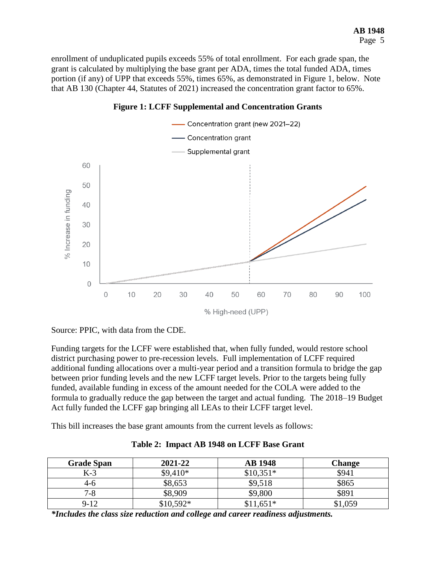enrollment of unduplicated pupils exceeds 55% of total enrollment. For each grade span, the grant is calculated by multiplying the base grant per ADA, times the total funded ADA, times portion (if any) of UPP that exceeds 55%, times 65%, as demonstrated in Figure 1, below. Note that AB 130 (Chapter 44, Statutes of 2021) increased the concentration grant factor to 65%.



**Figure 1: LCFF Supplemental and Concentration Grants**

Source: PPIC, with data from the CDE.

Funding targets for the LCFF were established that, when fully funded, would restore school district purchasing power to pre-recession levels. Full implementation of LCFF required additional funding allocations over a multi-year period and a transition formula to bridge the gap between prior funding levels and the new LCFF target levels. Prior to the targets being fully funded, available funding in excess of the amount needed for the COLA were added to the formula to gradually reduce the gap between the target and actual funding. The 2018–19 Budget Act fully funded the LCFF gap bringing all LEAs to their LCFF target level.

This bill increases the base grant amounts from the current levels as follows:

| <b>Grade Span</b> | 2021-22    | <b>AB</b> 1948     | <b>Change</b> |
|-------------------|------------|--------------------|---------------|
| K-3               | $$9,410*$  | $$10,351*$         | \$941         |
| 4-0               | \$8,653    | \$9,518            | \$865         |
| 7-8               | \$8,909    | \$9,800            | \$891         |
| $9 - 12$          | $$10,592*$ | $^{\circ}11,651^*$ | \$1,059       |

**Table 2: Impact AB 1948 on LCFF Base Grant** 

*\*Includes the class size reduction and college and career readiness adjustments.*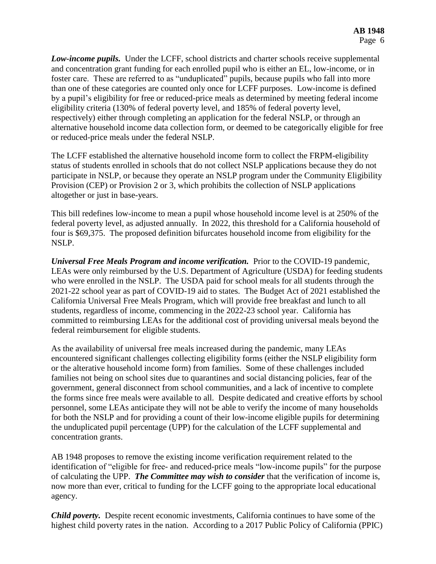*Low-income pupils.* Under the LCFF, school districts and charter schools receive supplemental and concentration grant funding for each enrolled pupil who is either an EL, low-income, or in foster care. These are referred to as "unduplicated" pupils, because pupils who fall into more than one of these categories are counted only once for LCFF purposes. Low-income is defined by a pupil's eligibility for free or reduced-price meals as determined by meeting federal income eligibility criteria (130% of federal poverty level, and 185% of federal poverty level, respectively) either through completing an application for the federal NSLP, or through an alternative household income data collection form, or deemed to be categorically eligible for free or reduced-price meals under the federal NSLP.

The LCFF established the alternative household income form to collect the FRPM-eligibility status of students enrolled in schools that do not collect NSLP applications because they do not participate in NSLP, or because they operate an NSLP program under the Community Eligibility Provision (CEP) or Provision 2 or 3, which prohibits the collection of NSLP applications altogether or just in base-years.

This bill redefines low-income to mean a pupil whose household income level is at 250% of the federal poverty level, as adjusted annually. In 2022, this threshold for a California household of four is \$69,375. The proposed definition bifurcates household income from eligibility for the NSLP.

*Universal Free Meals Program and income verification.* Prior to the COVID-19 pandemic, LEAs were only reimbursed by the U.S. Department of Agriculture (USDA) for feeding students who were enrolled in the NSLP. The USDA paid for school meals for all students through the 2021-22 school year as part of COVID-19 aid to states. The Budget Act of 2021 established the California Universal Free Meals Program, which will provide free breakfast and lunch to all students, regardless of income, commencing in the 2022-23 school year. California has committed to reimbursing LEAs for the additional cost of providing universal meals beyond the federal reimbursement for eligible students.

As the availability of universal free meals increased during the pandemic, many LEAs encountered significant challenges collecting eligibility forms (either the NSLP eligibility form or the alterative household income form) from families. Some of these challenges included families not being on school sites due to quarantines and social distancing policies, fear of the government, general disconnect from school communities, and a lack of incentive to complete the forms since free meals were available to all. Despite dedicated and creative efforts by school personnel, some LEAs anticipate they will not be able to verify the income of many households for both the NSLP and for providing a count of their low-income eligible pupils for determining the unduplicated pupil percentage (UPP) for the calculation of the LCFF supplemental and concentration grants.

AB 1948 proposes to remove the existing income verification requirement related to the identification of "eligible for free- and reduced-price meals "low-income pupils" for the purpose of calculating the UPP. *The Committee may wish to consider* that the verification of income is, now more than ever, critical to funding for the LCFF going to the appropriate local educational agency.

*Child poverty.* Despite recent economic investments, California continues to have some of the highest child poverty rates in the nation. According to a 2017 Public Policy of California (PPIC)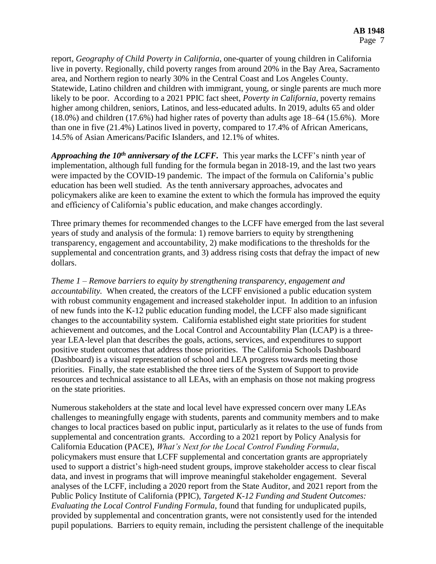report, *Geography of Child Poverty in California*, one-quarter of young children in California live in poverty. Regionally, child poverty ranges from around 20% in the Bay Area, Sacramento area, and Northern region to nearly 30% in the Central Coast and Los Angeles County. Statewide, Latino children and children with immigrant, young, or single parents are much more likely to be poor. According to a 2021 PPIC fact sheet, *Poverty in California*, poverty remains higher among children, seniors, Latinos, and less-educated adults. In 2019, adults 65 and older (18.0%) and children (17.6%) had higher rates of poverty than adults age 18–64 (15.6%). More than one in five (21.4%) Latinos lived in poverty, compared to 17.4% of African Americans, 14.5% of Asian Americans/Pacific Islanders, and 12.1% of whites.

*Approaching the 10th anniversary of the LCFF.* This year marks the LCFF's ninth year of implementation, although full funding for the formula began in 2018-19, and the last two years were impacted by the COVID-19 pandemic. The impact of the formula on California's public education has been well studied. As the tenth anniversary approaches, advocates and policymakers alike are keen to examine the extent to which the formula has improved the equity and efficiency of California's public education, and make changes accordingly.

Three primary themes for recommended changes to the LCFF have emerged from the last several years of study and analysis of the formula: 1) remove barriers to equity by strengthening transparency, engagement and accountability, 2) make modifications to the thresholds for the supplemental and concentration grants, and 3) address rising costs that defray the impact of new dollars.

*Theme 1 – Remove barriers to equity by strengthening transparency, engagement and accountability.* When created, the creators of the LCFF envisioned a public education system with robust community engagement and increased stakeholder input. In addition to an infusion of new funds into the K-12 public education funding model, the LCFF also made significant changes to the accountability system. California established eight state priorities for student achievement and outcomes, and the Local Control and Accountability Plan (LCAP) is a threeyear LEA-level plan that describes the goals, actions, services, and expenditures to support positive student outcomes that address those priorities. The California Schools Dashboard (Dashboard) is a visual representation of school and LEA progress towards meeting those priorities. Finally, the state established the three tiers of the System of Support to provide resources and technical assistance to all LEAs, with an emphasis on those not making progress on the state priorities.

Numerous stakeholders at the state and local level have expressed concern over many LEAs challenges to meaningfully engage with students, parents and community members and to make changes to local practices based on public input, particularly as it relates to the use of funds from supplemental and concentration grants. According to a 2021 report by Policy Analysis for California Education (PACE), *What's Next for the Local Control Funding Formula*, policymakers must ensure that LCFF supplemental and concertation grants are appropriately used to support a district's high-need student groups, improve stakeholder access to clear fiscal data, and invest in programs that will improve meaningful stakeholder engagement. Several analyses of the LCFF, including a 2020 report from the State Auditor, and 2021 report from the Public Policy Institute of California (PPIC), *Targeted K-12 Funding and Student Outcomes: Evaluating the Local Control Funding Formula*, found that funding for unduplicated pupils, provided by supplemental and concentration grants, were not consistently used for the intended pupil populations. Barriers to equity remain, including the persistent challenge of the inequitable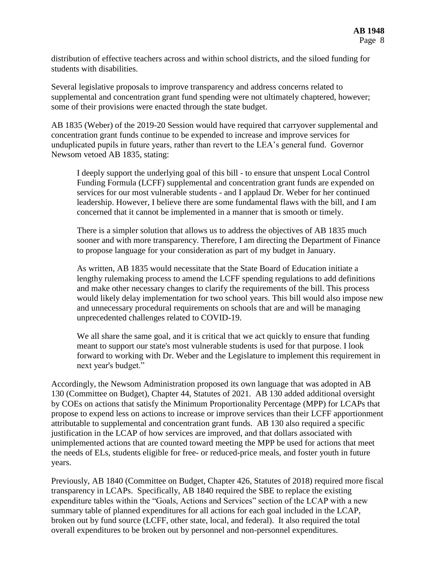distribution of effective teachers across and within school districts, and the siloed funding for students with disabilities.

Several legislative proposals to improve transparency and address concerns related to supplemental and concentration grant fund spending were not ultimately chaptered, however; some of their provisions were enacted through the state budget.

AB 1835 (Weber) of the 2019-20 Session would have required that carryover supplemental and concentration grant funds continue to be expended to increase and improve services for unduplicated pupils in future years, rather than revert to the LEA's general fund. Governor Newsom vetoed AB 1835, stating:

I deeply support the underlying goal of this bill - to ensure that unspent Local Control Funding Formula (LCFF) supplemental and concentration grant funds are expended on services for our most vulnerable students - and I applaud Dr. Weber for her continued leadership. However, I believe there are some fundamental flaws with the bill, and I am concerned that it cannot be implemented in a manner that is smooth or timely.

There is a simpler solution that allows us to address the objectives of AB 1835 much sooner and with more transparency. Therefore, I am directing the Department of Finance to propose language for your consideration as part of my budget in January.

As written, AB 1835 would necessitate that the State Board of Education initiate a lengthy rulemaking process to amend the LCFF spending regulations to add definitions and make other necessary changes to clarify the requirements of the bill. This process would likely delay implementation for two school years. This bill would also impose new and unnecessary procedural requirements on schools that are and will be managing unprecedented challenges related to COVID-19.

We all share the same goal, and it is critical that we act quickly to ensure that funding meant to support our state's most vulnerable students is used for that purpose. I look forward to working with Dr. Weber and the Legislature to implement this requirement in next year's budget."

Accordingly, the Newsom Administration proposed its own language that was adopted in AB 130 (Committee on Budget), Chapter 44, Statutes of 2021. AB 130 added additional oversight by COEs on actions that satisfy the Minimum Proportionality Percentage (MPP) for LCAPs that propose to expend less on actions to increase or improve services than their LCFF apportionment attributable to supplemental and concentration grant funds. AB 130 also required a specific justification in the LCAP of how services are improved, and that dollars associated with unimplemented actions that are counted toward meeting the MPP be used for actions that meet the needs of ELs, students eligible for free- or reduced-price meals, and foster youth in future years.

Previously, AB 1840 (Committee on Budget, Chapter 426, Statutes of 2018) required more fiscal transparency in LCAPs. Specifically, AB 1840 required the SBE to replace the existing expenditure tables within the "Goals, Actions and Services" section of the LCAP with a new summary table of planned expenditures for all actions for each goal included in the LCAP, broken out by fund source (LCFF, other state, local, and federal). It also required the total overall expenditures to be broken out by personnel and non-personnel expenditures.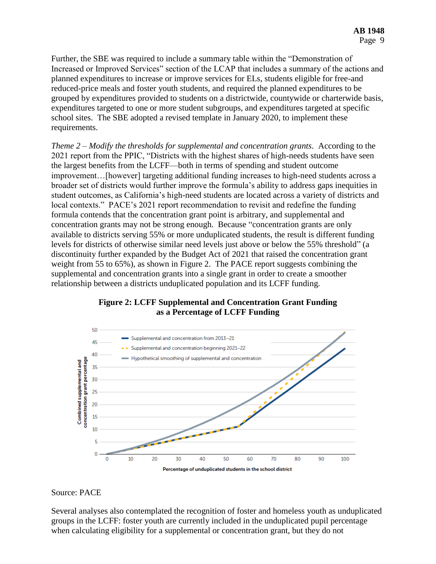Further, the SBE was required to include a summary table within the "Demonstration of Increased or Improved Services" section of the LCAP that includes a summary of the actions and planned expenditures to increase or improve services for ELs, students eligible for free-and reduced-price meals and foster youth students, and required the planned expenditures to be grouped by expenditures provided to students on a districtwide, countywide or charterwide basis, expenditures targeted to one or more student subgroups, and expenditures targeted at specific school sites. The SBE adopted a revised template in January 2020, to implement these requirements.

*Theme 2 – Modify the thresholds for supplemental and concentration grants.* According to the 2021 report from the PPIC, "Districts with the highest shares of high-needs students have seen the largest benefits from the LCFF—both in terms of spending and student outcome improvement…[however] targeting additional funding increases to high-need students across a broader set of districts would further improve the formula's ability to address gaps inequities in student outcomes, as California's high-need students are located across a variety of districts and local contexts." PACE's 2021 report recommendation to revisit and redefine the funding formula contends that the concentration grant point is arbitrary, and supplemental and concentration grants may not be strong enough. Because "concentration grants are only available to districts serving 55% or more unduplicated students, the result is different funding levels for districts of otherwise similar need levels just above or below the 55% threshold" (a discontinuity further expanded by the Budget Act of 2021 that raised the concentration grant weight from 55 to 65%), as shown in Figure 2. The PACE report suggests combining the supplemental and concentration grants into a single grant in order to create a smoother relationship between a districts unduplicated population and its LCFF funding.





#### Source: PACE

Several analyses also contemplated the recognition of foster and homeless youth as unduplicated groups in the LCFF: foster youth are currently included in the unduplicated pupil percentage when calculating eligibility for a supplemental or concentration grant, but they do not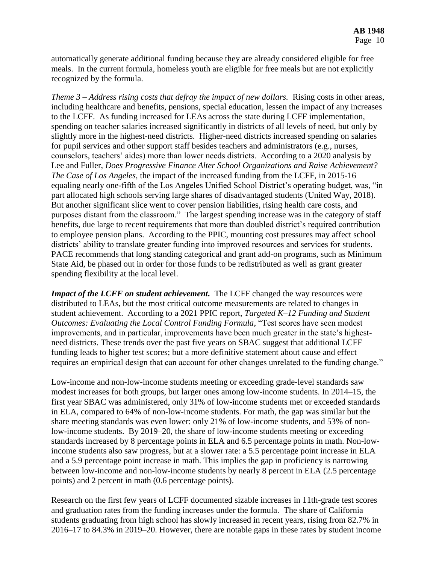automatically generate additional funding because they are already considered eligible for free meals. In the current formula, homeless youth are eligible for free meals but are not explicitly recognized by the formula.

*Theme 3 – Address rising costs that defray the impact of new dollars.* Rising costs in other areas, including healthcare and benefits, pensions, special education, lessen the impact of any increases to the LCFF. As funding increased for LEAs across the state during LCFF implementation, spending on teacher salaries increased significantly in districts of all levels of need, but only by slightly more in the highest-need districts. Higher-need districts increased spending on salaries for pupil services and other support staff besides teachers and administrators (e.g., nurses, counselors, teachers' aides) more than lower needs districts. According to a 2020 analysis by Lee and Fuller, *Does Progressive Finance Alter School Organizations and Raise Achievement? The Case of Los Angeles*, the impact of the increased funding from the LCFF, in 2015-16 equaling nearly one-fifth of the Los Angeles Unified School District's operating budget, was, "in part allocated high schools serving large shares of disadvantaged students (United Way, 2018). But another significant slice went to cover pension liabilities, rising health care costs, and purposes distant from the classroom." The largest spending increase was in the category of staff benefits, due large to recent requirements that more than doubled district's required contribution to employee pension plans. According to the PPIC, mounting cost pressures may affect school districts' ability to translate greater funding into improved resources and services for students. PACE recommends that long standing categorical and grant add-on programs, such as Minimum State Aid, be phased out in order for those funds to be redistributed as well as grant greater spending flexibility at the local level.

*Impact of the LCFF on student achievement.* The LCFF changed the way resources were distributed to LEAs, but the most critical outcome measurements are related to changes in student achievement. According to a 2021 PPIC report, *Targeted K–12 Funding and Student Outcomes: Evaluating the Local Control Funding Formula*, "Test scores have seen modest improvements, and in particular, improvements have been much greater in the state's highestneed districts. These trends over the past five years on SBAC suggest that additional LCFF funding leads to higher test scores; but a more definitive statement about cause and effect requires an empirical design that can account for other changes unrelated to the funding change."

Low-income and non-low-income students meeting or exceeding grade-level standards saw modest increases for both groups, but larger ones among low-income students. In 2014–15, the first year SBAC was administered, only 31% of low-income students met or exceeded standards in ELA, compared to 64% of non-low-income students. For math, the gap was similar but the share meeting standards was even lower: only 21% of low-income students, and 53% of nonlow-income students. By 2019–20, the share of low-income students meeting or exceeding standards increased by 8 percentage points in ELA and 6.5 percentage points in math. Non-lowincome students also saw progress, but at a slower rate: a 5.5 percentage point increase in ELA and a 5.9 percentage point increase in math. This implies the gap in proficiency is narrowing between low-income and non-low-income students by nearly 8 percent in ELA (2.5 percentage points) and 2 percent in math (0.6 percentage points).

Research on the first few years of LCFF documented sizable increases in 11th-grade test scores and graduation rates from the funding increases under the formula. The share of California students graduating from high school has slowly increased in recent years, rising from 82.7% in 2016–17 to 84.3% in 2019–20. However, there are notable gaps in these rates by student income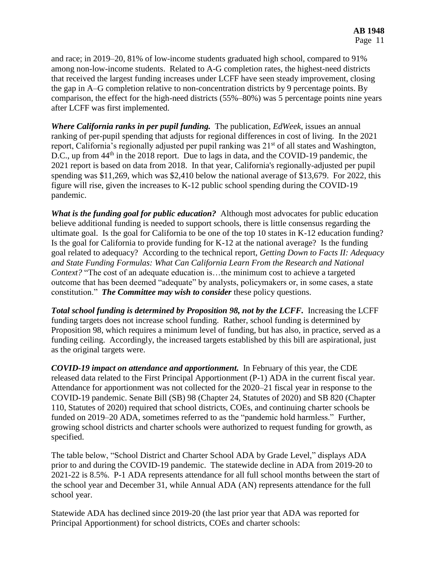and race; in 2019–20, 81% of low-income students graduated high school, compared to 91% among non-low-income students. Related to A-G completion rates, the highest-need districts that received the largest funding increases under LCFF have seen steady improvement, closing the gap in A–G completion relative to non-concentration districts by 9 percentage points. By comparison, the effect for the high-need districts (55%–80%) was 5 percentage points nine years after LCFF was first implemented.

*Where California ranks in per pupil funding.* The publication, *EdWeek*, issues an annual ranking of per-pupil spending that adjusts for regional differences in cost of living. In the 2021 report, California's regionally adjusted per pupil ranking was 21<sup>st</sup> of all states and Washington, D.C., up from 44<sup>th</sup> in the 2018 report. Due to lags in data, and the COVID-19 pandemic, the 2021 report is based on data from 2018. In that year, California's regionally-adjusted per pupil spending was \$11,269, which was \$2,410 below the national average of \$13,679. For 2022, this figure will rise, given the increases to K-12 public school spending during the COVID-19 pandemic.

*What is the funding goal for public education?* Although most advocates for public education believe additional funding is needed to support schools, there is little consensus regarding the ultimate goal. Is the goal for California to be one of the top 10 states in K-12 education funding? Is the goal for California to provide funding for K-12 at the national average? Is the funding goal related to adequacy? According to the technical report, *Getting Down to Facts II: Adequacy and State Funding Formulas: What Can California Learn From the Research and National Context?* "The cost of an adequate education is...the minimum cost to achieve a targeted outcome that has been deemed "adequate" by analysts, policymakers or, in some cases, a state constitution." *The Committee may wish to consider* these policy questions.

*Total school funding is determined by Proposition 98, not by the LCFF.* Increasing the LCFF funding targets does not increase school funding. Rather, school funding is determined by Proposition 98, which requires a minimum level of funding, but has also, in practice, served as a funding ceiling. Accordingly, the increased targets established by this bill are aspirational, just as the original targets were.

*COVID-19 impact on attendance and apportionment.* In February of this year, the CDE released data related to the First Principal Apportionment (P-1) ADA in the current fiscal year. Attendance for apportionment was not collected for the 2020–21 fiscal year in response to the COVID-19 pandemic. Senate Bill (SB) 98 (Chapter 24, Statutes of 2020) and SB 820 (Chapter 110, Statutes of 2020) required that school districts, COEs, and continuing charter schools be funded on 2019–20 ADA, sometimes referred to as the "pandemic hold harmless." Further, growing school districts and charter schools were authorized to request funding for growth, as specified.

The table below, "School District and Charter School ADA by Grade Level," displays ADA prior to and during the COVID-19 pandemic. The statewide decline in ADA from 2019-20 to 2021-22 is 8.5%. P-1 ADA represents attendance for all full school months between the start of the school year and December 31, while Annual ADA (AN) represents attendance for the full school year.

Statewide ADA has declined since 2019-20 (the last prior year that ADA was reported for Principal Apportionment) for school districts, COEs and charter schools: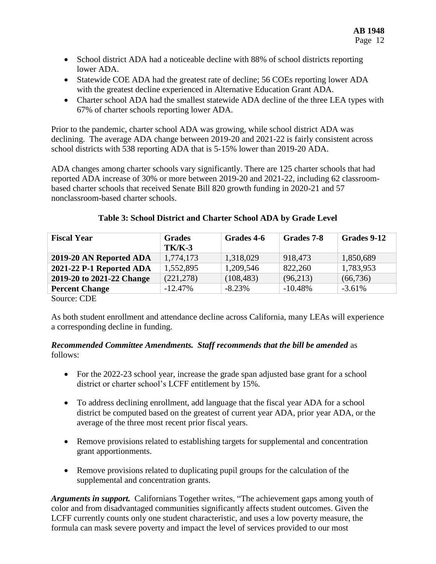- School district ADA had a noticeable decline with 88% of school districts reporting lower ADA.
- Statewide COE ADA had the greatest rate of decline; 56 COEs reporting lower ADA with the greatest decline experienced in Alternative Education Grant ADA.
- Charter school ADA had the smallest statewide ADA decline of the three LEA types with 67% of charter schools reporting lower ADA.

Prior to the pandemic, charter school ADA was growing, while school district ADA was declining. The average ADA change between 2019-20 and 2021-22 is fairly consistent across school districts with 538 reporting ADA that is 5-15% lower than 2019-20 ADA.

ADA changes among charter schools vary significantly. There are 125 charter schools that had reported ADA increase of 30% or more between 2019-20 and 2021-22, including 62 classroombased charter schools that received Senate Bill 820 growth funding in 2020-21 and 57 nonclassroom-based charter schools.

# **Table 3: School District and Charter School ADA by Grade Level**

| <b>Fiscal Year</b>        | <b>Grades</b><br><b>TK/K-3</b> | Grades 4-6 | Grades 7-8 | Grades 9-12 |
|---------------------------|--------------------------------|------------|------------|-------------|
| 2019-20 AN Reported ADA   | 1,774,173                      | 1,318,029  | 918,473    | 1,850,689   |
| 2021-22 P-1 Reported ADA  | 1,552,895                      | 1,209,546  | 822,260    | 1,783,953   |
| 2019-20 to 2021-22 Change | (221, 278)                     | (108, 483) | (96,213)   | (66, 736)   |
| <b>Percent Change</b>     | $-12.47%$                      | $-8.23%$   | $-10.48%$  | $-3.61\%$   |

Source: CDE

As both student enrollment and attendance decline across California, many LEAs will experience a corresponding decline in funding.

#### *Recommended Committee Amendments. Staff recommends that the bill be amended* as follows:

- For the 2022-23 school year, increase the grade span adjusted base grant for a school district or charter school's LCFF entitlement by 15%.
- To address declining enrollment, add language that the fiscal year ADA for a school district be computed based on the greatest of current year ADA, prior year ADA, or the average of the three most recent prior fiscal years.
- Remove provisions related to establishing targets for supplemental and concentration grant apportionments.
- Remove provisions related to duplicating pupil groups for the calculation of the supplemental and concentration grants.

*Arguments in support.* Californians Together writes, "The achievement gaps among youth of color and from disadvantaged communities significantly affects student outcomes. Given the LCFF currently counts only one student characteristic, and uses a low poverty measure, the formula can mask severe poverty and impact the level of services provided to our most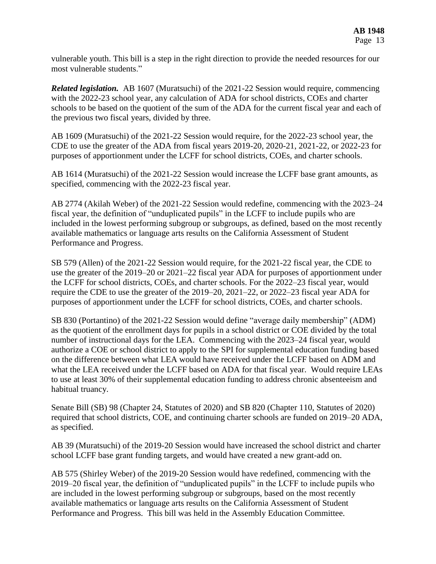vulnerable youth. This bill is a step in the right direction to provide the needed resources for our most vulnerable students."

*Related legislation.* AB 1607 (Muratsuchi) of the 2021-22 Session would require, commencing with the 2022-23 school year, any calculation of ADA for school districts, COEs and charter schools to be based on the quotient of the sum of the ADA for the current fiscal year and each of the previous two fiscal years, divided by three.

AB 1609 (Muratsuchi) of the 2021-22 Session would require, for the 2022-23 school year, the CDE to use the greater of the ADA from fiscal years 2019-20, 2020-21, 2021-22, or 2022-23 for purposes of apportionment under the LCFF for school districts, COEs, and charter schools.

AB 1614 (Muratsuchi) of the 2021-22 Session would increase the LCFF base grant amounts, as specified, commencing with the 2022-23 fiscal year.

AB 2774 (Akilah Weber) of the 2021-22 Session would redefine, commencing with the 2023–24 fiscal year, the definition of "unduplicated pupils" in the LCFF to include pupils who are included in the lowest performing subgroup or subgroups, as defined, based on the most recently available mathematics or language arts results on the California Assessment of Student Performance and Progress.

SB 579 (Allen) of the 2021-22 Session would require, for the 2021-22 fiscal year, the CDE to use the greater of the 2019–20 or 2021–22 fiscal year ADA for purposes of apportionment under the LCFF for school districts, COEs, and charter schools. For the 2022–23 fiscal year, would require the CDE to use the greater of the 2019–20, 2021–22, or 2022–23 fiscal year ADA for purposes of apportionment under the LCFF for school districts, COEs, and charter schools.

SB 830 (Portantino) of the 2021-22 Session would define "average daily membership" (ADM) as the quotient of the enrollment days for pupils in a school district or COE divided by the total number of instructional days for the LEA. Commencing with the 2023–24 fiscal year, would authorize a COE or school district to apply to the SPI for supplemental education funding based on the difference between what LEA would have received under the LCFF based on ADM and what the LEA received under the LCFF based on ADA for that fiscal year. Would require LEAs to use at least 30% of their supplemental education funding to address chronic absenteeism and habitual truancy.

Senate Bill (SB) 98 (Chapter 24, Statutes of 2020) and SB 820 (Chapter 110, Statutes of 2020) required that school districts, COE, and continuing charter schools are funded on 2019–20 ADA, as specified.

AB 39 (Muratsuchi) of the 2019-20 Session would have increased the school district and charter school LCFF base grant funding targets, and would have created a new grant-add on.

AB 575 (Shirley Weber) of the 2019-20 Session would have redefined, commencing with the 2019–20 fiscal year, the definition of "unduplicated pupils" in the LCFF to include pupils who are included in the lowest performing subgroup or subgroups, based on the most recently available mathematics or language arts results on the California Assessment of Student Performance and Progress. This bill was held in the Assembly Education Committee.